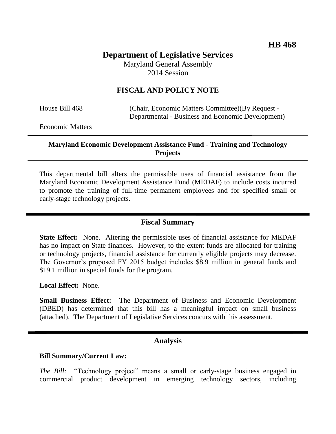# **Department of Legislative Services** Maryland General Assembly

2014 Session

# **FISCAL AND POLICY NOTE**

House Bill 468 (Chair, Economic Matters Committee)(By Request - Departmental - Business and Economic Development)

Economic Matters

#### **Maryland Economic Development Assistance Fund - Training and Technology Projects**

This departmental bill alters the permissible uses of financial assistance from the Maryland Economic Development Assistance Fund (MEDAF) to include costs incurred to promote the training of full-time permanent employees and for specified small or early-stage technology projects.

## **Fiscal Summary**

**State Effect:** None. Altering the permissible uses of financial assistance for MEDAF has no impact on State finances. However, to the extent funds are allocated for training or technology projects, financial assistance for currently eligible projects may decrease. The Governor's proposed FY 2015 budget includes \$8.9 million in general funds and \$19.1 million in special funds for the program.

**Local Effect:** None.

**Small Business Effect:** The Department of Business and Economic Development (DBED) has determined that this bill has a meaningful impact on small business (attached). The Department of Legislative Services concurs with this assessment.

## **Analysis**

#### **Bill Summary/Current Law:**

*The Bill:* "Technology project" means a small or early-stage business engaged in commercial product development in emerging technology sectors, including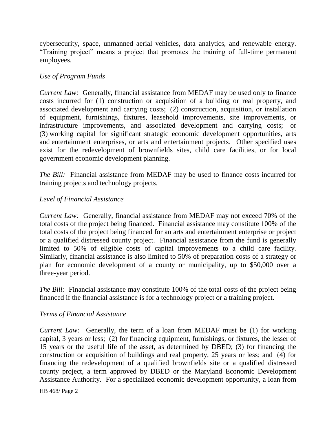cybersecurity, space, unmanned aerial vehicles, data analytics, and renewable energy. "Training project" means a project that promotes the training of full-time permanent employees.

## *Use of Program Funds*

*Current Law:* Generally, financial assistance from MEDAF may be used only to finance costs incurred for (1) construction or acquisition of a building or real property, and associated development and carrying costs; (2) construction, acquisition, or installation of equipment, furnishings, fixtures, leasehold improvements, site improvements, or infrastructure improvements, and associated development and carrying costs; or (3) working capital for significant strategic economic development opportunities, arts and entertainment enterprises, or arts and entertainment projects. Other specified uses exist for the redevelopment of brownfields sites, child care facilities, or for local government economic development planning.

*The Bill:* Financial assistance from MEDAF may be used to finance costs incurred for training projects and technology projects.

## *Level of Financial Assistance*

*Current Law:* Generally, financial assistance from MEDAF may not exceed 70% of the total costs of the project being financed. Financial assistance may constitute 100% of the total costs of the project being financed for an arts and entertainment enterprise or project or a qualified distressed county project. Financial assistance from the fund is generally limited to 50% of eligible costs of capital improvements to a child care facility. Similarly, financial assistance is also limited to 50% of preparation costs of a strategy or plan for economic development of a county or municipality, up to \$50,000 over a three-year period.

*The Bill:* Financial assistance may constitute 100% of the total costs of the project being financed if the financial assistance is for a technology project or a training project.

## *Terms of Financial Assistance*

*Current Law:* Generally, the term of a loan from MEDAF must be (1) for working capital, 3 years or less; (2) for financing equipment, furnishings, or fixtures, the lesser of 15 years or the useful life of the asset, as determined by DBED; (3) for financing the construction or acquisition of buildings and real property, 25 years or less; and (4) for financing the redevelopment of a qualified brownfields site or a qualified distressed county project, a term approved by DBED or the Maryland Economic Development Assistance Authority. For a specialized economic development opportunity, a loan from

HB 468/ Page 2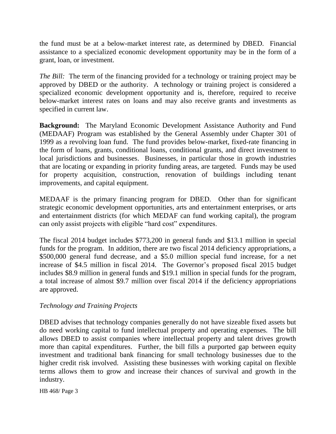the fund must be at a below-market interest rate, as determined by DBED. Financial assistance to a specialized economic development opportunity may be in the form of a grant, loan, or investment.

*The Bill:* The term of the financing provided for a technology or training project may be approved by DBED or the authority. A technology or training project is considered a specialized economic development opportunity and is, therefore, required to receive below-market interest rates on loans and may also receive grants and investments as specified in current law.

**Background:** The Maryland Economic Development Assistance Authority and Fund (MEDAAF) Program was established by the General Assembly under Chapter 301 of 1999 as a revolving loan fund. The fund provides below-market, fixed-rate financing in the form of loans, grants, conditional loans, conditional grants, and direct investment to local jurisdictions and businesses. Businesses, in particular those in growth industries that are locating or expanding in priority funding areas, are targeted. Funds may be used for property acquisition, construction, renovation of buildings including tenant improvements, and capital equipment.

MEDAAF is the primary financing program for DBED. Other than for significant strategic economic development opportunities, arts and entertainment enterprises, or arts and entertainment districts (for which MEDAF can fund working capital), the program can only assist projects with eligible "hard cost" expenditures.

The fiscal 2014 budget includes \$773,200 in general funds and \$13.1 million in special funds for the program. In addition, there are two fiscal 2014 deficiency appropriations, a \$500,000 general fund decrease, and a \$5.0 million special fund increase, for a net increase of \$4.5 million in fiscal 2014. The Governor's proposed fiscal 2015 budget includes \$8.9 million in general funds and \$19.1 million in special funds for the program, a total increase of almost \$9.7 million over fiscal 2014 if the deficiency appropriations are approved.

## *Technology and Training Projects*

DBED advises that technology companies generally do not have sizeable fixed assets but do need working capital to fund intellectual property and operating expenses. The bill allows DBED to assist companies where intellectual property and talent drives growth more than capital expenditures. Further, the bill fills a purported gap between equity investment and traditional bank financing for small technology businesses due to the higher credit risk involved. Assisting these businesses with working capital on flexible terms allows them to grow and increase their chances of survival and growth in the industry.

HB 468/ Page 3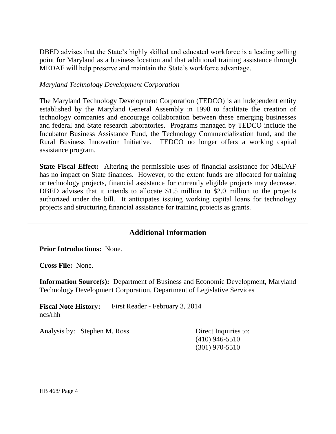DBED advises that the State's highly skilled and educated workforce is a leading selling point for Maryland as a business location and that additional training assistance through MEDAF will help preserve and maintain the State's workforce advantage.

#### *Maryland Technology Development Corporation*

The Maryland Technology Development Corporation (TEDCO) is an independent entity established by the Maryland General Assembly in 1998 to facilitate the creation of technology companies and encourage collaboration between these emerging businesses and federal and State research laboratories. Programs managed by TEDCO include the Incubator Business Assistance Fund, the Technology Commercialization fund, and the Rural Business Innovation Initiative. TEDCO no longer offers a working capital assistance program.

**State Fiscal Effect:** Altering the permissible uses of financial assistance for MEDAF has no impact on State finances. However, to the extent funds are allocated for training or technology projects, financial assistance for currently eligible projects may decrease. DBED advises that it intends to allocate \$1.5 million to \$2.0 million to the projects authorized under the bill. It anticipates issuing working capital loans for technology projects and structuring financial assistance for training projects as grants.

# **Additional Information**

**Prior Introductions:** None.

**Cross File:** None.

**Information Source(s):** Department of Business and Economic Development, Maryland Technology Development Corporation, Department of Legislative Services

**Fiscal Note History:** First Reader - February 3, 2014 ncs/rhh

Analysis by: Stephen M. Ross Direct Inquiries to:

(410) 946-5510 (301) 970-5510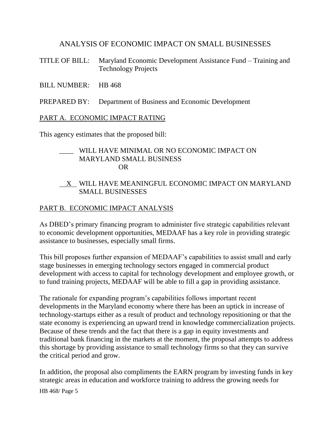## ANALYSIS OF ECONOMIC IMPACT ON SMALL BUSINESSES

- TITLE OF BILL: Maryland Economic Development Assistance Fund Training and Technology Projects
- BILL NUMBER: HB 468
- PREPARED BY: Department of Business and Economic Development

#### PART A. ECONOMIC IMPACT RATING

This agency estimates that the proposed bill:

## \_\_\_\_ WILL HAVE MINIMAL OR NO ECONOMIC IMPACT ON MARYLAND SMALL BUSINESS OR

## X WILL HAVE MEANINGFUL ECONOMIC IMPACT ON MARYLAND SMALL BUSINESSES

## PART B. ECONOMIC IMPACT ANALYSIS

As DBED's primary financing program to administer five strategic capabilities relevant to economic development opportunities, MEDAAF has a key role in providing strategic assistance to businesses, especially small firms.

This bill proposes further expansion of MEDAAF's capabilities to assist small and early stage businesses in emerging technology sectors engaged in commercial product development with access to capital for technology development and employee growth, or to fund training projects, MEDAAF will be able to fill a gap in providing assistance.

The rationale for expanding program's capabilities follows important recent developments in the Maryland economy where there has been an uptick in increase of technology-startups either as a result of product and technology repositioning or that the state economy is experiencing an upward trend in knowledge commercialization projects. Because of these trends and the fact that there is a gap in equity investments and traditional bank financing in the markets at the moment, the proposal attempts to address this shortage by providing assistance to small technology firms so that they can survive the critical period and grow.

In addition, the proposal also compliments the EARN program by investing funds in key strategic areas in education and workforce training to address the growing needs for

HB 468/ Page 5